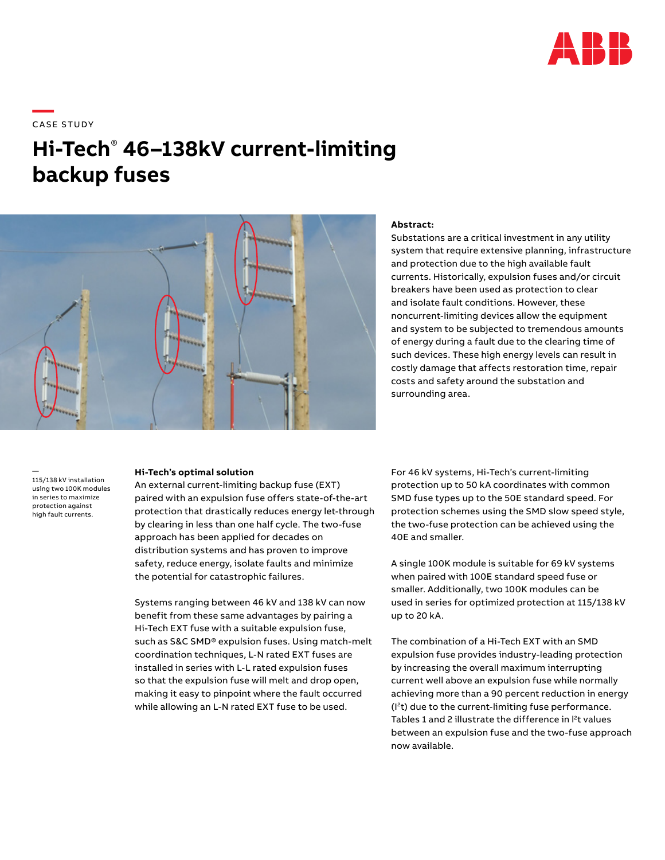

# \_\_\_\_<br>CASE STUDY

# **Hi-Tech**®  **46–138kV current-limiting backup fuses**



# **Abstract:**

Substations are a critical investment in any utility system that require extensive planning, infrastructure and protection due to the high available fault currents. Historically, expulsion fuses and/or circuit breakers have been used as protection to clear and isolate fault conditions. However, these noncurrent-limiting devices allow the equipment and system to be subjected to tremendous amounts of energy during a fault due to the clearing time of such devices. These high energy levels can result in costly damage that affects restoration time, repair costs and safety around the substation and surrounding area.

— 115/138 kV installation using two 100K modules in series to maximize protection against high fault currents.

### **Hi-Tech's optimal solution**

An external current-limiting backup fuse (EXT) paired with an expulsion fuse offers state-of-the-art protection that drastically reduces energy let-through by clearing in less than one half cycle. The two-fuse approach has been applied for decades on distribution systems and has proven to improve safety, reduce energy, isolate faults and minimize the potential for catastrophic failures.

Systems ranging between 46 kV and 138 kV can now benefit from these same advantages by pairing a Hi-Tech EXT fuse with a suitable expulsion fuse, such as S&C SMD® expulsion fuses. Using match-melt coordination techniques, L-N rated EXT fuses are installed in series with L-L rated expulsion fuses so that the expulsion fuse will melt and drop open, making it easy to pinpoint where the fault occurred while allowing an L-N rated EXT fuse to be used.

For 46 kV systems, Hi-Tech's current-limiting protection up to 50 kA coordinates with common SMD fuse types up to the 50E standard speed. For protection schemes using the SMD slow speed style, the two-fuse protection can be achieved using the 40E and smaller.

A single 100K module is suitable for 69 kV systems when paired with 100E standard speed fuse or smaller. Additionally, two 100K modules can be used in series for optimized protection at 115/138 kV up to 20 kA.

The combination of a Hi-Tech EXT with an SMD expulsion fuse provides industry-leading protection by increasing the overall maximum interrupting current well above an expulsion fuse while normally achieving more than a 90 percent reduction in energy (I2t) due to the current-limiting fuse performance. Tables 1 and 2 illustrate the difference in  $l^2$ t values between an expulsion fuse and the two-fuse approach now available.